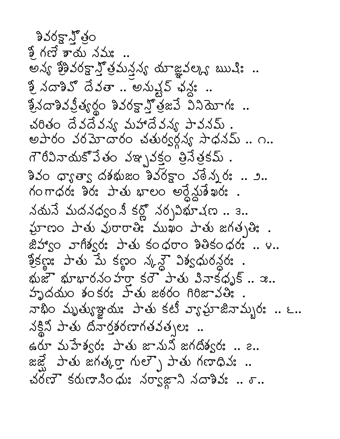<u> శివరక్షా గ్రీ</u>ం ఫ్టే గణే కాయ నమః .. అన్య శ్రీశివరక్షా స్త్రోమన్తవ్య యాజ్ఞవల్క్య ఋషిః .. శ్రీ నదాశివో దేవతా .. అనుష్టప్ ఛన్లు ..  $2/3$ సదాశివప్రీత్యర్థం శివరక్షాన్తో త్రజమే వినియోగః.. చరితం దేవదేవన్య మహాదేవన్య పావనమ్. అపారం వరమోదారం చతుర్వర్గవ్య సాధనమ్.. ౧.. గౌరీవినాయకోవేతం వఞ్నకక్తం త్రినేత్రకమ్ .  $330$   $\sigma$ s  $\sigma$ s దశభుజం  $330$ క్టాం వరేనుర: .. 2. ဂဝက္ထပ္ ခဲ့၀ုံး ၁-ေလ ဧပ္ေရာက္ရွိသူခဲ့ ဆု၀ုံး .  $\lambda$ యనే మదనధ్వం నీ కర్లో నర్చవిభూషణ.. 3.. லுமை சுல் திசை ஜீ கால் சில் காத்து . 2500 వాగిశ్వర: పాతు కంధరాం శితికంధర: .. ౪..  $25.50$  and  $3.500$   $2.500$   $3.500$   $3.500$   $3.500$   $3.500$ భుజా భూభారనం హరా కరౌ పాతు వినాకధృక్..  $x$ .. హృదయం శంకర: హేతు జఠరం గిరిజావతి: నాభిం మృత్యుజ్ఞాయః పాతు కటీ వ్యామాజినామ్బరః .. ౬.. నక్లిని పాతు దినార్తనరణాగతవత్చలః.. ఉరూ మహేశ్వరః పాతు జానుని జగదిశ్వరః .. ౭.. జజ్షే పాతు జగత్కర్తా గుల్బౌ పాతు గణాధివ: .. చరణా కరుణానిందు: నర్వాజాని నదాశివ: .. ర..